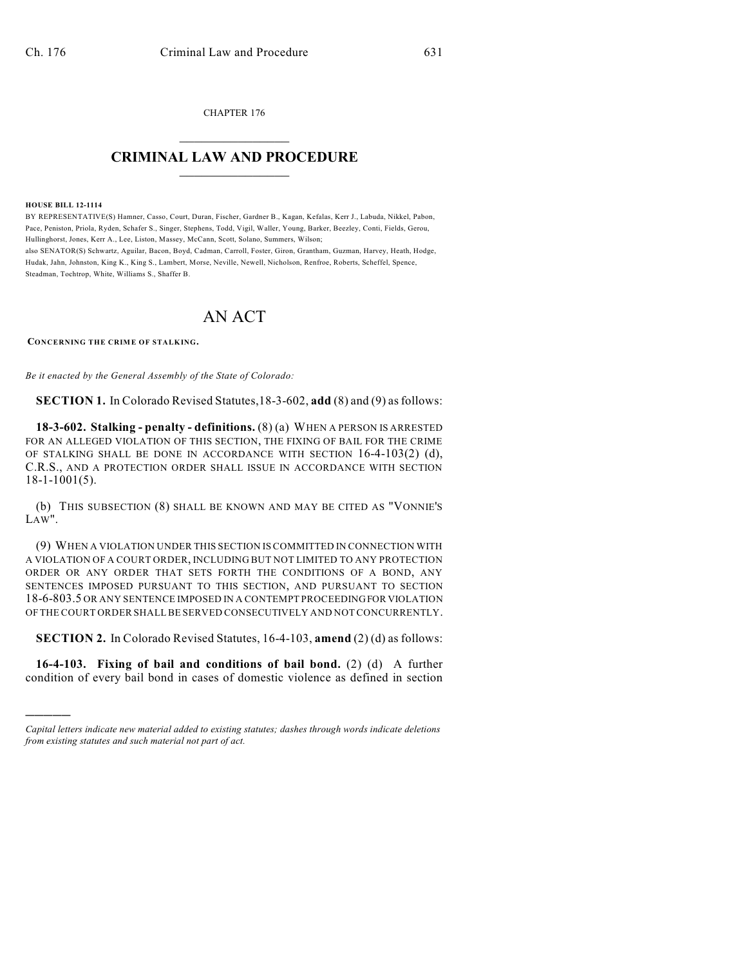CHAPTER 176  $\mathcal{L}_\text{max}$  . The set of the set of the set of the set of the set of the set of the set of the set of the set of the set of the set of the set of the set of the set of the set of the set of the set of the set of the set

## **CRIMINAL LAW AND PROCEDURE**  $\_$

**HOUSE BILL 12-1114**

)))))

BY REPRESENTATIVE(S) Hamner, Casso, Court, Duran, Fischer, Gardner B., Kagan, Kefalas, Kerr J., Labuda, Nikkel, Pabon, Pace, Peniston, Priola, Ryden, Schafer S., Singer, Stephens, Todd, Vigil, Waller, Young, Barker, Beezley, Conti, Fields, Gerou, Hullinghorst, Jones, Kerr A., Lee, Liston, Massey, McCann, Scott, Solano, Summers, Wilson; also SENATOR(S) Schwartz, Aguilar, Bacon, Boyd, Cadman, Carroll, Foster, Giron, Grantham, Guzman, Harvey, Heath, Hodge, Hudak, Jahn, Johnston, King K., King S., Lambert, Morse, Neville, Newell, Nicholson, Renfroe, Roberts, Scheffel, Spence, Steadman, Tochtrop, White, Williams S., Shaffer B.

## AN ACT

**CONCERNING THE CRIME OF STALKING.**

*Be it enacted by the General Assembly of the State of Colorado:*

**SECTION 1.** In Colorado Revised Statutes,18-3-602, **add** (8) and (9) asfollows:

**18-3-602. Stalking - penalty - definitions.** (8) (a) WHEN A PERSON IS ARRESTED FOR AN ALLEGED VIOLATION OF THIS SECTION, THE FIXING OF BAIL FOR THE CRIME OF STALKING SHALL BE DONE IN ACCORDANCE WITH SECTION 16-4-103(2) (d), C.R.S., AND A PROTECTION ORDER SHALL ISSUE IN ACCORDANCE WITH SECTION 18-1-1001(5).

(b) THIS SUBSECTION (8) SHALL BE KNOWN AND MAY BE CITED AS "VONNIE'S  $LAW''$ 

(9) WHEN A VIOLATION UNDER THIS SECTION IS COMMITTED IN CONNECTION WITH A VIOLATION OF A COURT ORDER, INCLUDING BUT NOT LIMITED TO ANY PROTECTION ORDER OR ANY ORDER THAT SETS FORTH THE CONDITIONS OF A BOND, ANY SENTENCES IMPOSED PURSUANT TO THIS SECTION, AND PURSUANT TO SECTION 18-6-803.5 OR ANY SENTENCE IMPOSED IN A CONTEMPT PROCEEDINGFOR VIOLATION OF THE COURT ORDER SHALL BE SERVED CONSECUTIVELY AND NOT CONCURRENTLY.

**SECTION 2.** In Colorado Revised Statutes, 16-4-103, **amend** (2) (d) as follows:

**16-4-103. Fixing of bail and conditions of bail bond.** (2) (d) A further condition of every bail bond in cases of domestic violence as defined in section

*Capital letters indicate new material added to existing statutes; dashes through words indicate deletions from existing statutes and such material not part of act.*